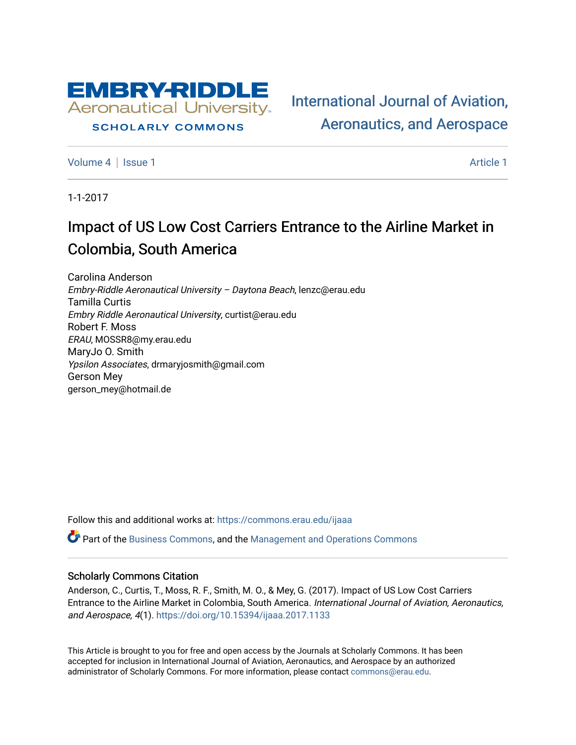

## **SCHOLARLY COMMONS**

[International Journal of Aviation,](https://commons.erau.edu/ijaaa)  [Aeronautics, and Aerospace](https://commons.erau.edu/ijaaa) 

[Volume 4](https://commons.erau.edu/ijaaa/vol4) | [Issue 1](https://commons.erau.edu/ijaaa/vol4/iss1) Article 1

1-1-2017

# Impact of US Low Cost Carriers Entrance to the Airline Market in Colombia, South America

Carolina Anderson Embry-Riddle Aeronautical University – Daytona Beach, lenzc@erau.edu Tamilla Curtis Embry Riddle Aeronautical University, curtist@erau.edu Robert F. Moss ERAU, MOSSR8@my.erau.edu MaryJo O. Smith Ypsilon Associates, drmaryjosmith@gmail.com Gerson Mey gerson\_mey@hotmail.de

Follow this and additional works at: [https://commons.erau.edu/ijaaa](https://commons.erau.edu/ijaaa?utm_source=commons.erau.edu%2Fijaaa%2Fvol4%2Fiss1%2F1&utm_medium=PDF&utm_campaign=PDFCoverPages) 

**P** Part of the [Business Commons](http://network.bepress.com/hgg/discipline/622?utm_source=commons.erau.edu%2Fijaaa%2Fvol4%2Fiss1%2F1&utm_medium=PDF&utm_campaign=PDFCoverPages), and the Management and Operations Commons

## Scholarly Commons Citation

Anderson, C., Curtis, T., Moss, R. F., Smith, M. O., & Mey, G. (2017). Impact of US Low Cost Carriers Entrance to the Airline Market in Colombia, South America. International Journal of Aviation, Aeronautics, and Aerospace, 4(1).<https://doi.org/10.15394/ijaaa.2017.1133>

This Article is brought to you for free and open access by the Journals at Scholarly Commons. It has been accepted for inclusion in International Journal of Aviation, Aeronautics, and Aerospace by an authorized administrator of Scholarly Commons. For more information, please contact [commons@erau.edu](mailto:commons@erau.edu).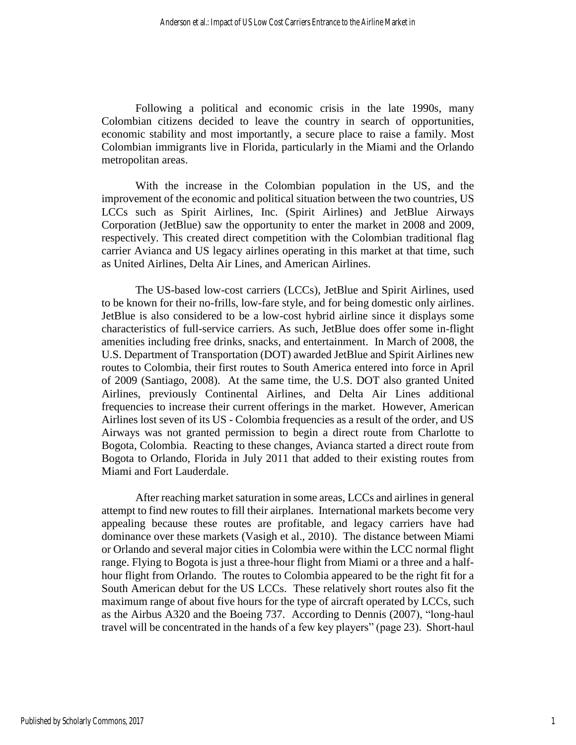Following a political and economic crisis in the late 1990s, many Colombian citizens decided to leave the country in search of opportunities, economic stability and most importantly, a secure place to raise a family. Most Colombian immigrants live in Florida, particularly in the Miami and the Orlando metropolitan areas.

With the increase in the Colombian population in the US, and the improvement of the economic and political situation between the two countries, US LCCs such as Spirit Airlines, Inc. (Spirit Airlines) and JetBlue Airways Corporation (JetBlue) saw the opportunity to enter the market in 2008 and 2009, respectively. This created direct competition with the Colombian traditional flag carrier Avianca and US legacy airlines operating in this market at that time, such as United Airlines, Delta Air Lines, and American Airlines.

The US-based low-cost carriers (LCCs), JetBlue and Spirit Airlines, used to be known for their no-frills, low-fare style, and for being domestic only airlines. JetBlue is also considered to be a low-cost hybrid airline since it displays some characteristics of full-service carriers. As such, JetBlue does offer some in-flight amenities including free drinks, snacks, and entertainment. In March of 2008, the U.S. Department of Transportation (DOT) awarded JetBlue and Spirit Airlines new routes to Colombia, their first routes to South America entered into force in April of 2009 (Santiago, 2008). At the same time, the U.S. DOT also granted United Airlines, previously Continental Airlines, and Delta Air Lines additional frequencies to increase their current offerings in the market. However, American Airlines lost seven of its US - Colombia frequencies as a result of the order, and US Airways was not granted permission to begin a direct route from Charlotte to Bogota, Colombia. Reacting to these changes, Avianca started a direct route from Bogota to Orlando, Florida in July 2011 that added to their existing routes from Miami and Fort Lauderdale.

After reaching market saturation in some areas, LCCs and airlines in general attempt to find new routes to fill their airplanes. International markets become very appealing because these routes are profitable, and legacy carriers have had dominance over these markets (Vasigh et al., 2010). The distance between Miami or Orlando and several major cities in Colombia were within the LCC normal flight range. Flying to Bogota is just a three-hour flight from Miami or a three and a halfhour flight from Orlando. The routes to Colombia appeared to be the right fit for a South American debut for the US LCCs. These relatively short routes also fit the maximum range of about five hours for the type of aircraft operated by LCCs, such as the Airbus A320 and the Boeing 737. According to Dennis (2007), "long-haul travel will be concentrated in the hands of a few key players" (page 23). Short-haul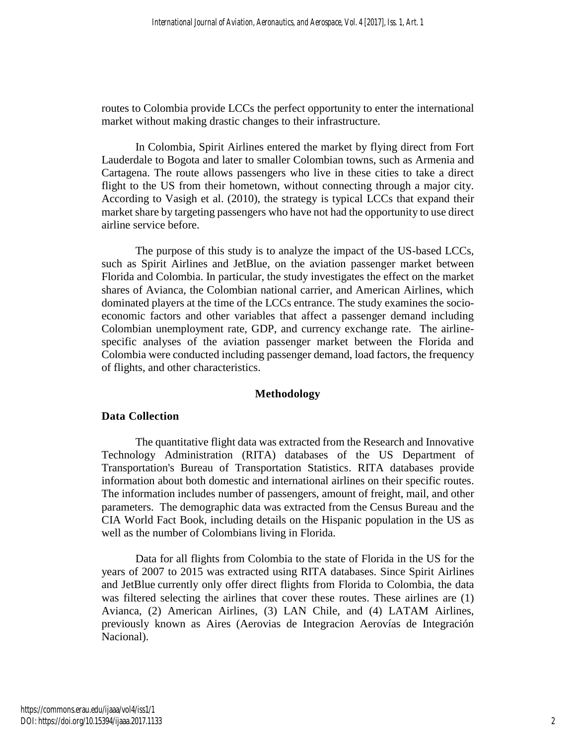routes to Colombia provide LCCs the perfect opportunity to enter the international market without making drastic changes to their infrastructure.

In Colombia, Spirit Airlines entered the market by flying direct from Fort Lauderdale to Bogota and later to smaller Colombian towns, such as Armenia and Cartagena. The route allows passengers who live in these cities to take a direct flight to the US from their hometown, without connecting through a major city. According to Vasigh et al. (2010), the strategy is typical LCCs that expand their market share by targeting passengers who have not had the opportunity to use direct airline service before.

The purpose of this study is to analyze the impact of the US-based LCCs, such as Spirit Airlines and JetBlue, on the aviation passenger market between Florida and Colombia. In particular, the study investigates the effect on the market shares of Avianca, the Colombian national carrier, and American Airlines, which dominated players at the time of the LCCs entrance. The study examines the socioeconomic factors and other variables that affect a passenger demand including Colombian unemployment rate, GDP, and currency exchange rate. The airlinespecific analyses of the aviation passenger market between the Florida and Colombia were conducted including passenger demand, load factors, the frequency of flights, and other characteristics.

# **Methodology**

# **Data Collection**

The quantitative flight data was extracted from the Research and Innovative Technology Administration (RITA) databases of the US Department of Transportation's Bureau of Transportation Statistics. RITA databases provide information about both domestic and international airlines on their specific routes. The information includes number of passengers, amount of freight, mail, and other parameters. The demographic data was extracted from the Census Bureau and the CIA World Fact Book, including details on the Hispanic population in the US as well as the number of Colombians living in Florida.

Data for all flights from Colombia to the state of Florida in the US for the years of 2007 to 2015 was extracted using RITA databases. Since Spirit Airlines and JetBlue currently only offer direct flights from Florida to Colombia, the data was filtered selecting the airlines that cover these routes. These airlines are (1) Avianca, (2) American Airlines, (3) LAN Chile, and (4) LATAM Airlines, previously known as Aires (Aerovias de Integracion Aerovías de Integración Nacional).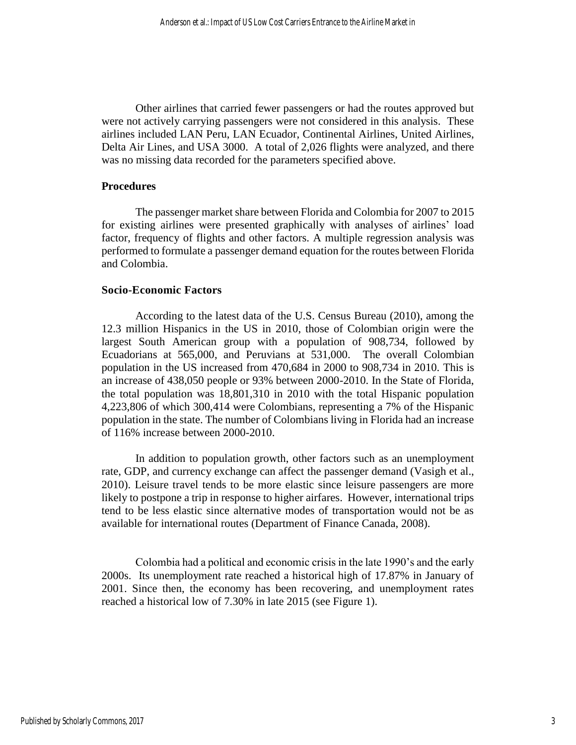Other airlines that carried fewer passengers or had the routes approved but were not actively carrying passengers were not considered in this analysis. These airlines included LAN Peru, LAN Ecuador, Continental Airlines, United Airlines, Delta Air Lines, and USA 3000. A total of 2,026 flights were analyzed, and there was no missing data recorded for the parameters specified above.

#### **Procedures**

The passenger market share between Florida and Colombia for 2007 to 2015 for existing airlines were presented graphically with analyses of airlines' load factor, frequency of flights and other factors. A multiple regression analysis was performed to formulate a passenger demand equation for the routes between Florida and Colombia.

## **Socio-Economic Factors**

According to the latest data of the U.S. Census Bureau (2010), among the 12.3 million Hispanics in the US in 2010, those of Colombian origin were the largest South American group with a population of 908,734, followed by Ecuadorians at 565,000, and Peruvians at 531,000. The overall Colombian population in the US increased from 470,684 in 2000 to 908,734 in 2010. This is an increase of 438,050 people or 93% between 2000-2010. In the State of Florida, the total population was 18,801,310 in 2010 with the total Hispanic population 4,223,806 of which 300,414 were Colombians, representing a 7% of the Hispanic population in the state. The number of Colombians living in Florida had an increase of 116% increase between 2000-2010.

In addition to population growth, other factors such as an unemployment rate, GDP, and currency exchange can affect the passenger demand (Vasigh et al., 2010). Leisure travel tends to be more elastic since leisure passengers are more likely to postpone a trip in response to higher airfares. However, international trips tend to be less elastic since alternative modes of transportation would not be as available for international routes (Department of Finance Canada, 2008).

Colombia had a political and economic crisis in the late 1990's and the early 2000s. Its unemployment rate reached a historical high of 17.87% in January of 2001. Since then, the economy has been recovering, and unemployment rates reached a historical low of 7.30% in late 2015 (see Figure 1).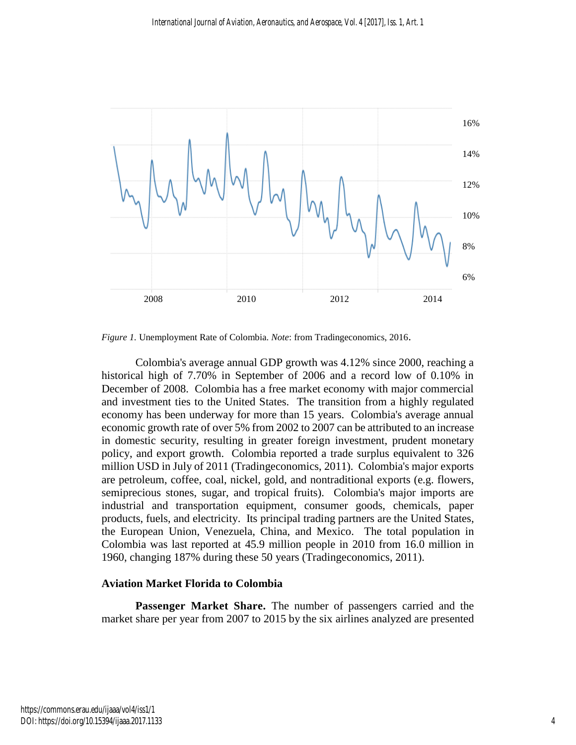

*Figure 1.* Unemployment Rate of Colombia. *Note*: from Tradingeconomics, 2016.

Colombia's average annual GDP growth was 4.12% since 2000, reaching a historical high of 7.70% in September of 2006 and a record low of 0.10% in December of 2008. Colombia has a free market economy with major commercial and investment ties to the United States. The transition from a highly regulated economy has been underway for more than 15 years. Colombia's average annual economic growth rate of over 5% from 2002 to 2007 can be attributed to an increase in domestic security, resulting in greater foreign investment, prudent monetary policy, and export growth. Colombia reported a trade surplus equivalent to 326 million USD in July of 2011 (Tradingeconomics, 2011). Colombia's major exports are petroleum, coffee, coal, nickel, gold, and nontraditional exports (e.g. flowers, semiprecious stones, sugar, and tropical fruits). Colombia's major imports are industrial and transportation equipment, consumer goods, chemicals, paper products, fuels, and electricity. Its principal trading partners are the United States, the European Union, Venezuela, China, and Mexico. The total population in Colombia was last reported at 45.9 million people in 2010 from 16.0 million in 1960, changing 187% during these 50 years (Tradingeconomics, 2011).

## **Aviation Market Florida to Colombia**

**Passenger Market Share.** The number of passengers carried and the market share per year from 2007 to 2015 by the six airlines analyzed are presented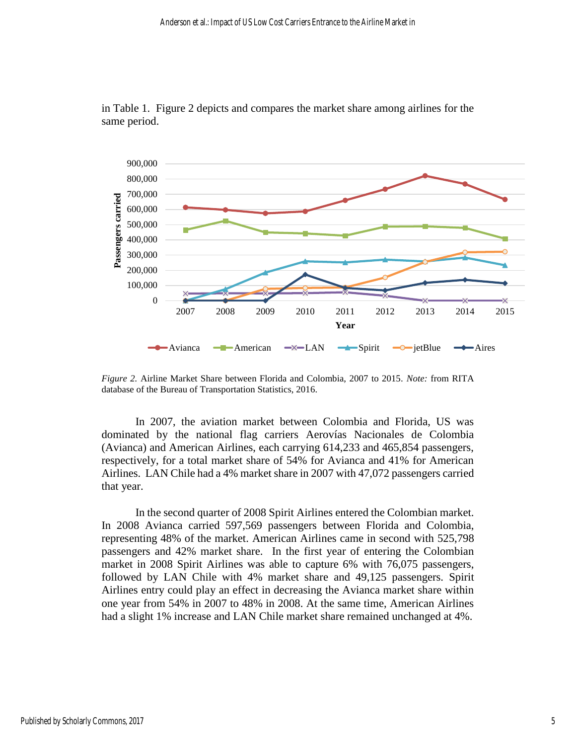

in Table 1. Figure 2 depicts and compares the market share among airlines for the same period.

*Figure 2.* Airline Market Share between Florida and Colombia, 2007 to 2015. *Note:* from RITA database of the Bureau of Transportation Statistics, 2016.

In 2007, the aviation market between Colombia and Florida, US was dominated by the national flag carriers Aerovías Nacionales de Colombia (Avianca) and American Airlines, each carrying 614,233 and 465,854 passengers, respectively, for a total market share of 54% for Avianca and 41% for American Airlines. LAN Chile had a 4% market share in 2007 with 47,072 passengers carried that year.

In the second quarter of 2008 Spirit Airlines entered the Colombian market. In 2008 Avianca carried 597,569 passengers between Florida and Colombia, representing 48% of the market. American Airlines came in second with 525,798 passengers and 42% market share. In the first year of entering the Colombian market in 2008 Spirit Airlines was able to capture 6% with 76,075 passengers, followed by LAN Chile with 4% market share and 49,125 passengers. Spirit Airlines entry could play an effect in decreasing the Avianca market share within one year from 54% in 2007 to 48% in 2008. At the same time, American Airlines had a slight 1% increase and LAN Chile market share remained unchanged at 4%.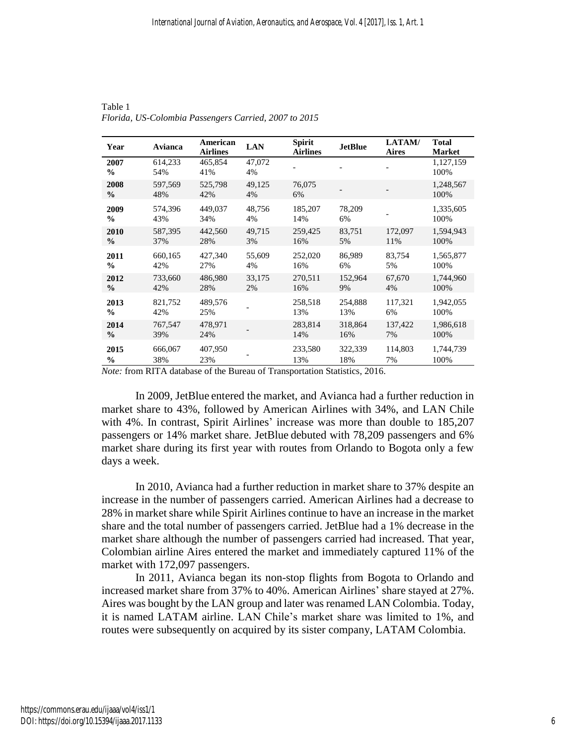| Year                                                                      | Avianca        | American<br><b>Airlines</b> | <b>LAN</b>   | <b>Spirit</b><br><b>Airlines</b> | <b>JetBlue</b>                                         | LATAM/<br><b>Aires</b> | Total<br><b>Market</b> |
|---------------------------------------------------------------------------|----------------|-----------------------------|--------------|----------------------------------|--------------------------------------------------------|------------------------|------------------------|
| 2007<br>$\frac{0}{0}$                                                     | 614,233<br>54% | 465,854<br>41%              | 47,072<br>4% |                                  |                                                        |                        | 1,127,159<br>100%      |
| 2008<br>$\frac{6}{9}$                                                     | 597,569<br>48% | 525,798<br>42%              | 49,125<br>4% | 76,075<br>6%                     |                                                        |                        | 1,248,567<br>100%      |
| 2009                                                                      | 574,396        | 449,037                     | 48,756       | 185,207                          | 78,209                                                 |                        | 1,335,605              |
| $\frac{6}{9}$                                                             | 43%            | 34%                         | 4%           | 14%                              | 6%                                                     |                        | 100%                   |
| 2010                                                                      | 587,395        | 442,560                     | 49.715       | 259,425                          | 83,751                                                 | 172,097                | 1,594,943              |
| $\frac{6}{6}$                                                             | 37%            | 28%                         | 3%           | 16%                              | 5%                                                     | 11%                    | 100%                   |
| 2011                                                                      | 660,165        | 427,340                     | 55,609       | 252,020                          | 86,989                                                 | 83,754                 | 1,565,877              |
| $\frac{0}{0}$                                                             | 42%            | 27%                         | 4%           | 16%                              | 6%                                                     | 5%                     | 100%                   |
| 2012                                                                      | 733,660        | 486,980                     | 33,175       | 270,511                          | 152,964                                                | 67,670                 | 1,744,960              |
| $\frac{0}{0}$                                                             | 42%            | 28%                         | 2%           | 16%                              | 9%                                                     | 4%                     | 100%                   |
| 2013                                                                      | 821,752        | 489,576                     |              | 258,518                          | 254,888                                                | 117,321                | 1,942,055              |
| $\frac{0}{0}$                                                             | 42%            | 25%                         |              | 13%                              | 13%                                                    | 6%                     | 100%                   |
| 2014                                                                      | 767,547        | 478,971                     |              | 283,814                          | 318,864                                                | 137,422                | 1,986,618              |
| $\frac{6}{9}$                                                             | 39%            | 24%                         |              | 14%                              | 16%                                                    | 7%                     | 100%                   |
| 2015<br>$\%$<br>$M_{\rm{tot}}$ . Come DITA details as a failer Decay on a | 666,067<br>38% | 407,950<br>23%              |              | 233,580<br>13%                   | 322,339<br>18%<br>$2$ Tuenen entetian Statistics, 2016 | 114,803<br>7%          | 1,744,739<br>100%      |

Table 1 *Florida, US-Colombia Passengers Carried, 2007 to 2015*

*Note:* from RITA database of the Bureau of Transportation Statistics, 2016.

In 2009, JetBlue entered the market, and Avianca had a further reduction in market share to 43%, followed by American Airlines with 34%, and LAN Chile with 4%. In contrast, Spirit Airlines' increase was more than double to 185,207 passengers or 14% market share. JetBlue debuted with 78,209 passengers and 6% market share during its first year with routes from Orlando to Bogota only a few days a week.

In 2010, Avianca had a further reduction in market share to 37% despite an increase in the number of passengers carried. American Airlines had a decrease to 28% in market share while Spirit Airlines continue to have an increase in the market share and the total number of passengers carried. JetBlue had a 1% decrease in the market share although the number of passengers carried had increased. That year, Colombian airline Aires entered the market and immediately captured 11% of the market with 172,097 passengers.

In 2011, Avianca began its non-stop flights from Bogota to Orlando and increased market share from 37% to 40%. American Airlines' share stayed at 27%. Aires was bought by the LAN group and later was renamed LAN Colombia. Today, it is named LATAM airline. LAN Chile's market share was limited to 1%, and routes were subsequently on acquired by its sister company, LATAM Colombia.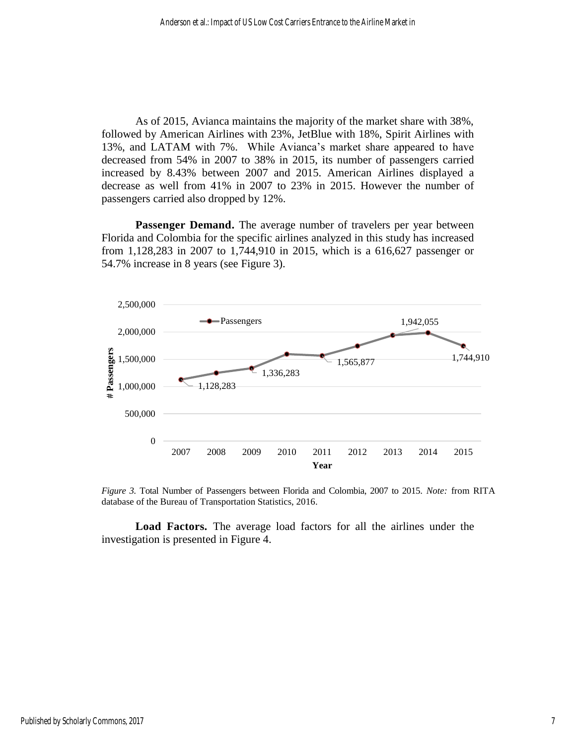As of 2015, Avianca maintains the majority of the market share with 38%, followed by American Airlines with 23%, JetBlue with 18%, Spirit Airlines with 13%, and LATAM with 7%. While Avianca's market share appeared to have decreased from 54% in 2007 to 38% in 2015, its number of passengers carried increased by 8.43% between 2007 and 2015. American Airlines displayed a decrease as well from 41% in 2007 to 23% in 2015. However the number of passengers carried also dropped by 12%.

**Passenger Demand.** The average number of travelers per year between Florida and Colombia for the specific airlines analyzed in this study has increased from 1,128,283 in 2007 to 1,744,910 in 2015, which is a 616,627 passenger or 54.7% increase in 8 years (see Figure 3).



*Figure 3.* Total Number of Passengers between Florida and Colombia, 2007 to 2015. *Note:* from RITA database of the Bureau of Transportation Statistics, 2016.

**Load Factors.** The average load factors for all the airlines under the investigation is presented in Figure 4.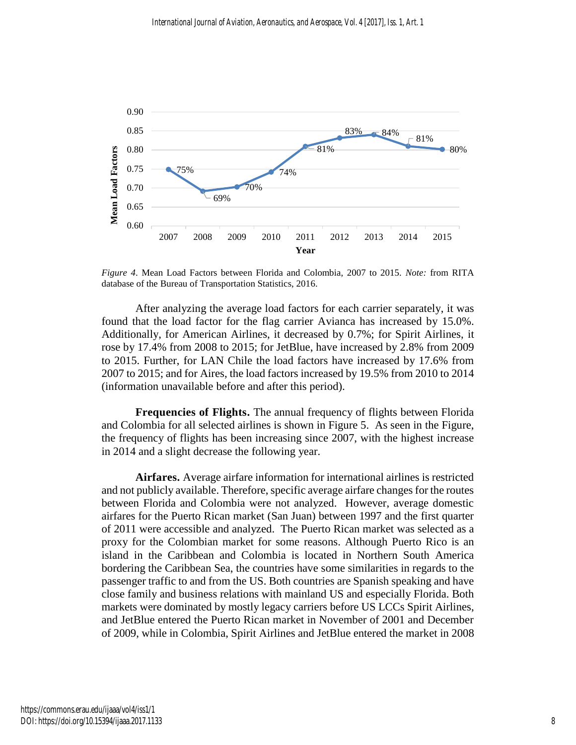

*Figure 4*. Mean Load Factors between Florida and Colombia, 2007 to 2015. *Note:* from RITA database of the Bureau of Transportation Statistics, 2016.

After analyzing the average load factors for each carrier separately, it was found that the load factor for the flag carrier Avianca has increased by 15.0%. Additionally, for American Airlines, it decreased by 0.7%; for Spirit Airlines, it rose by 17.4% from 2008 to 2015; for JetBlue, have increased by 2.8% from 2009 to 2015. Further, for LAN Chile the load factors have increased by 17.6% from 2007 to 2015; and for Aires, the load factors increased by 19.5% from 2010 to 2014 (information unavailable before and after this period).

**Frequencies of Flights.** The annual frequency of flights between Florida and Colombia for all selected airlines is shown in Figure 5. As seen in the Figure, the frequency of flights has been increasing since 2007, with the highest increase in 2014 and a slight decrease the following year.

**Airfares.** Average airfare information for international airlines is restricted and not publicly available. Therefore, specific average airfare changes for the routes between Florida and Colombia were not analyzed. However, average domestic airfares for the Puerto Rican market (San Juan) between 1997 and the first quarter of 2011 were accessible and analyzed. The Puerto Rican market was selected as a proxy for the Colombian market for some reasons. Although Puerto Rico is an island in the Caribbean and Colombia is located in Northern South America bordering the Caribbean Sea, the countries have some similarities in regards to the passenger traffic to and from the US. Both countries are Spanish speaking and have close family and business relations with mainland US and especially Florida. Both markets were dominated by mostly legacy carriers before US LCCs Spirit Airlines, and JetBlue entered the Puerto Rican market in November of 2001 and December of 2009, while in Colombia, Spirit Airlines and JetBlue entered the market in 2008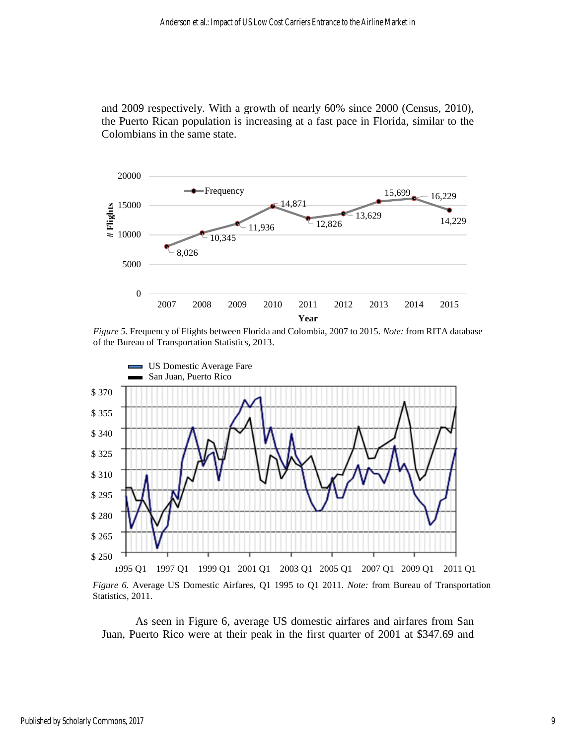and 2009 respectively. With a growth of nearly 60% since 2000 (Census, 2010), the Puerto Rican population is increasing at a fast pace in Florida, similar to the Colombians in the same state.



*Figure 5.* Frequency of Flights between Florida and Colombia, 2007 to 2015. *Note:* from RITA database of the Bureau of Transportation Statistics, 2013.



*Figure 6.* Average US Domestic Airfares, Q1 1995 to Q1 2011. *Note:* from Bureau of Transportation Statistics, 2011.

As seen in Figure 6, average US domestic airfares and airfares from San Juan, Puerto Rico were at their peak in the first quarter of 2001 at \$347.69 and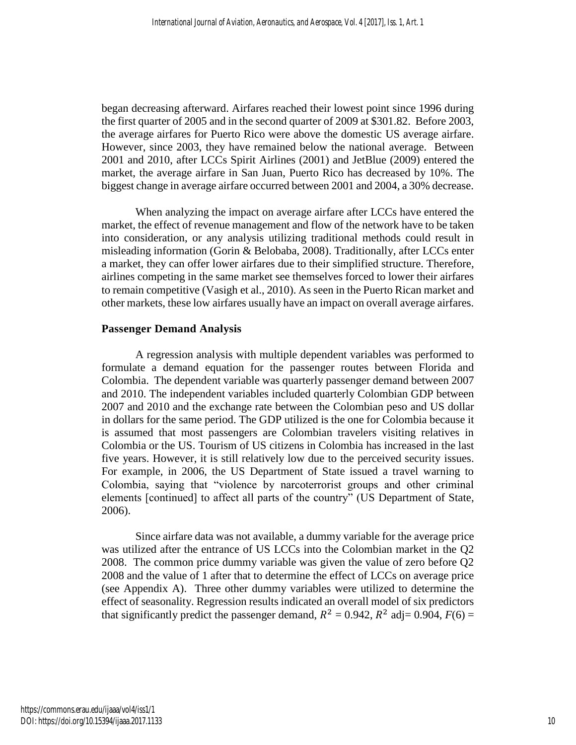began decreasing afterward. Airfares reached their lowest point since 1996 during the first quarter of 2005 and in the second quarter of 2009 at \$301.82. Before 2003, the average airfares for Puerto Rico were above the domestic US average airfare. However, since 2003, they have remained below the national average. Between 2001 and 2010, after LCCs Spirit Airlines (2001) and JetBlue (2009) entered the market, the average airfare in San Juan, Puerto Rico has decreased by 10%. The biggest change in average airfare occurred between 2001 and 2004, a 30% decrease.

When analyzing the impact on average airfare after LCCs have entered the market, the effect of revenue management and flow of the network have to be taken into consideration, or any analysis utilizing traditional methods could result in misleading information (Gorin & Belobaba, 2008). Traditionally, after LCCs enter a market, they can offer lower airfares due to their simplified structure. Therefore, airlines competing in the same market see themselves forced to lower their airfares to remain competitive (Vasigh et al., 2010). As seen in the Puerto Rican market and other markets, these low airfares usually have an impact on overall average airfares.

## **Passenger Demand Analysis**

A regression analysis with multiple dependent variables was performed to formulate a demand equation for the passenger routes between Florida and Colombia. The dependent variable was quarterly passenger demand between 2007 and 2010. The independent variables included quarterly Colombian GDP between 2007 and 2010 and the exchange rate between the Colombian peso and US dollar in dollars for the same period. The GDP utilized is the one for Colombia because it is assumed that most passengers are Colombian travelers visiting relatives in Colombia or the US. Tourism of US citizens in Colombia has increased in the last five years. However, it is still relatively low due to the perceived security issues. For example, in 2006, the US Department of State issued a travel warning to Colombia, saying that "violence by narcoterrorist groups and other criminal elements [continued] to affect all parts of the country" (US Department of State, 2006).

Since airfare data was not available, a dummy variable for the average price was utilized after the entrance of US LCCs into the Colombian market in the Q2 2008. The common price dummy variable was given the value of zero before Q2 2008 and the value of 1 after that to determine the effect of LCCs on average price (see Appendix A). Three other dummy variables were utilized to determine the effect of seasonality. Regression results indicated an overall model of six predictors that significantly predict the passenger demand,  $R^2 = 0.942$ ,  $R^2$  adj= 0.904,  $F(6) =$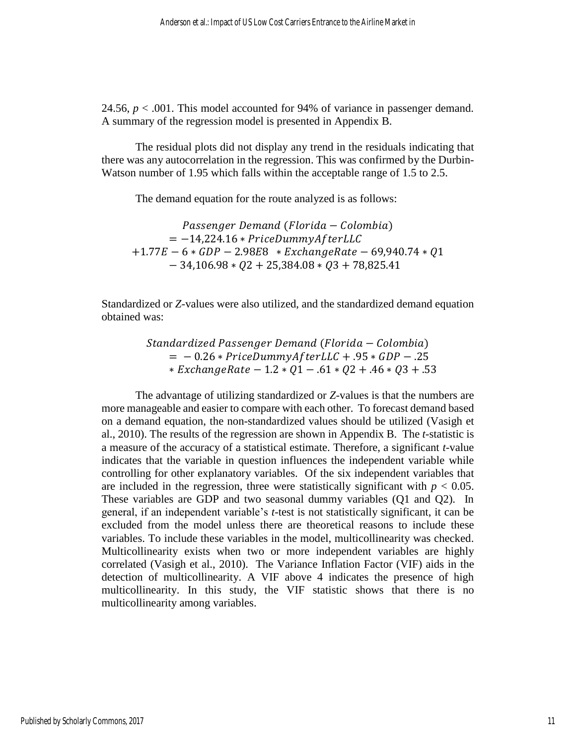24.56,  $p < .001$ . This model accounted for 94% of variance in passenger demand. A summary of the regression model is presented in Appendix B.

The residual plots did not display any trend in the residuals indicating that there was any autocorrelation in the regression. This was confirmed by the Durbin-Watson number of 1.95 which falls within the acceptable range of 1.5 to 2.5.

The demand equation for the route analyzed is as follows:

Passenger Demand (Florida – Colombia)  $= -14,224.16 * PriceDummyAfterLLC$  $+1.77E - 6 * GDP - 2.98E8 * ExchangeRate - 69,940.74 * Q1$  $-34,106.98 * Q2 + 25,384.08 * Q3 + 78,825.41$ 

Standardized or *Z*-values were also utilized, and the standardized demand equation obtained was:

> Standardized Passenger Demand (Florida – Colombia)  $= -0.26 * PriceDummyAfterLLC + .95 * GDP - .25$  $*$  ExchangeRate – 1.2  $*$  01 – .61  $*$  02 + .46  $*$  03 + .53

The advantage of utilizing standardized or *Z*-values is that the numbers are more manageable and easier to compare with each other. To forecast demand based on a demand equation, the non-standardized values should be utilized (Vasigh et al., 2010). The results of the regression are shown in Appendix B. The *t*-statistic is a measure of the accuracy of a statistical estimate. Therefore, a significant *t*-value indicates that the variable in question influences the independent variable while controlling for other explanatory variables. Of the six independent variables that are included in the regression, three were statistically significant with  $p < 0.05$ . These variables are GDP and two seasonal dummy variables (Q1 and Q2). In general, if an independent variable's *t*-test is not statistically significant, it can be excluded from the model unless there are theoretical reasons to include these variables. To include these variables in the model, multicollinearity was checked. Multicollinearity exists when two or more independent variables are highly correlated (Vasigh et al., 2010). The Variance Inflation Factor (VIF) aids in the detection of multicollinearity. A VIF above 4 indicates the presence of high multicollinearity. In this study, the VIF statistic shows that there is no multicollinearity among variables.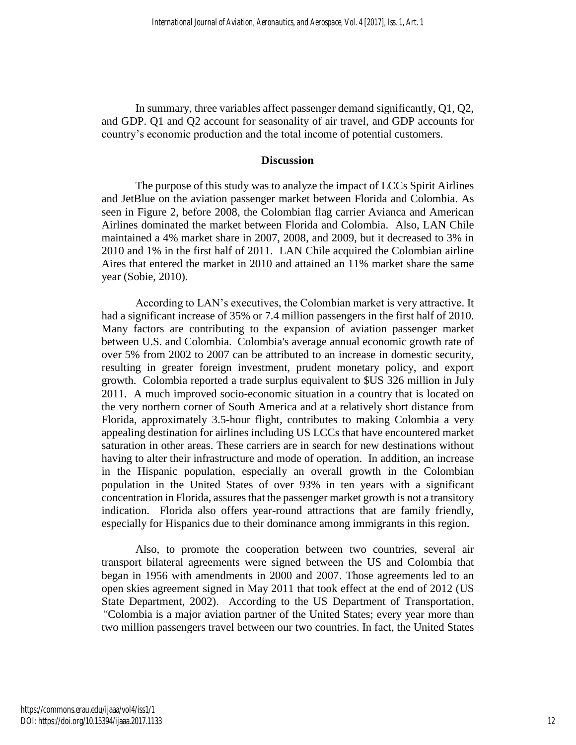In summary, three variables affect passenger demand significantly, Q1, Q2, and GDP. Q1 and Q2 account for seasonality of air travel, and GDP accounts for country's economic production and the total income of potential customers.

## **Discussion**

The purpose of this study was to analyze the impact of LCCs Spirit Airlines and JetBlue on the aviation passenger market between Florida and Colombia. As seen in Figure 2, before 2008, the Colombian flag carrier Avianca and American Airlines dominated the market between Florida and Colombia. Also, LAN Chile maintained a 4% market share in 2007, 2008, and 2009, but it decreased to 3% in 2010 and 1% in the first half of 2011. LAN Chile acquired the Colombian airline Aires that entered the market in 2010 and attained an 11% market share the same year (Sobie, 2010).

According to LAN's executives, the Colombian market is very attractive. It had a significant increase of 35% or 7.4 million passengers in the first half of 2010. Many factors are contributing to the expansion of aviation passenger market between U.S. and Colombia. Colombia's average annual economic growth rate of over 5% from 2002 to 2007 can be attributed to an increase in domestic security, resulting in greater foreign investment, prudent monetary policy, and export growth. Colombia reported a trade surplus equivalent to \$US 326 million in July 2011. A much improved socio-economic situation in a country that is located on the very northern corner of South America and at a relatively short distance from Florida, approximately 3.5-hour flight, contributes to making Colombia a very appealing destination for airlines including US LCCs that have encountered market saturation in other areas. These carriers are in search for new destinations without having to alter their infrastructure and mode of operation. In addition, an increase in the Hispanic population, especially an overall growth in the Colombian population in the United States of over 93% in ten years with a significant concentration in Florida, assures that the passenger market growth is not a transitory indication. Florida also offers year-round attractions that are family friendly, especially for Hispanics due to their dominance among immigrants in this region.

Also, to promote the cooperation between two countries, several air transport bilateral agreements were signed between the US and Colombia that began in 1956 with amendments in 2000 and 2007. Those agreements led to an open skies agreement signed in May 2011 that took effect at the end of 2012 (US State Department, 2002). According to the US Department of Transportation, *"*Colombia is a major aviation partner of the United States; every year more than two million passengers travel between our two countries. In fact, the United States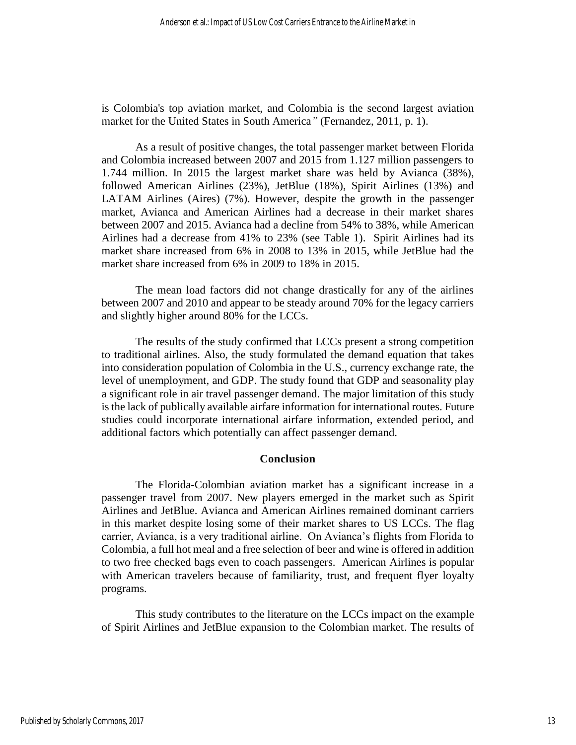is Colombia's top aviation market, and Colombia is the second largest aviation market for the United States in South America*"* (Fernandez, 2011, p. 1).

As a result of positive changes, the total passenger market between Florida and Colombia increased between 2007 and 2015 from 1.127 million passengers to 1.744 million. In 2015 the largest market share was held by Avianca (38%), followed American Airlines (23%), JetBlue (18%), Spirit Airlines (13%) and LATAM Airlines (Aires) (7%). However, despite the growth in the passenger market, Avianca and American Airlines had a decrease in their market shares between 2007 and 2015. Avianca had a decline from 54% to 38%, while American Airlines had a decrease from 41% to 23% (see Table 1). Spirit Airlines had its market share increased from 6% in 2008 to 13% in 2015, while JetBlue had the market share increased from 6% in 2009 to 18% in 2015.

The mean load factors did not change drastically for any of the airlines between 2007 and 2010 and appear to be steady around 70% for the legacy carriers and slightly higher around 80% for the LCCs.

The results of the study confirmed that LCCs present a strong competition to traditional airlines. Also, the study formulated the demand equation that takes into consideration population of Colombia in the U.S., currency exchange rate, the level of unemployment, and GDP. The study found that GDP and seasonality play a significant role in air travel passenger demand. The major limitation of this study is the lack of publically available airfare information for international routes. Future studies could incorporate international airfare information, extended period, and additional factors which potentially can affect passenger demand.

## **Conclusion**

The Florida-Colombian aviation market has a significant increase in a passenger travel from 2007. New players emerged in the market such as Spirit Airlines and JetBlue. Avianca and American Airlines remained dominant carriers in this market despite losing some of their market shares to US LCCs. The flag carrier, Avianca, is a very traditional airline. On Avianca's flights from Florida to Colombia, a full hot meal and a free selection of beer and wine is offered in addition to two free checked bags even to coach passengers. American Airlines is popular with American travelers because of familiarity, trust, and frequent flyer loyalty programs.

This study contributes to the literature on the LCCs impact on the example of Spirit Airlines and JetBlue expansion to the Colombian market. The results of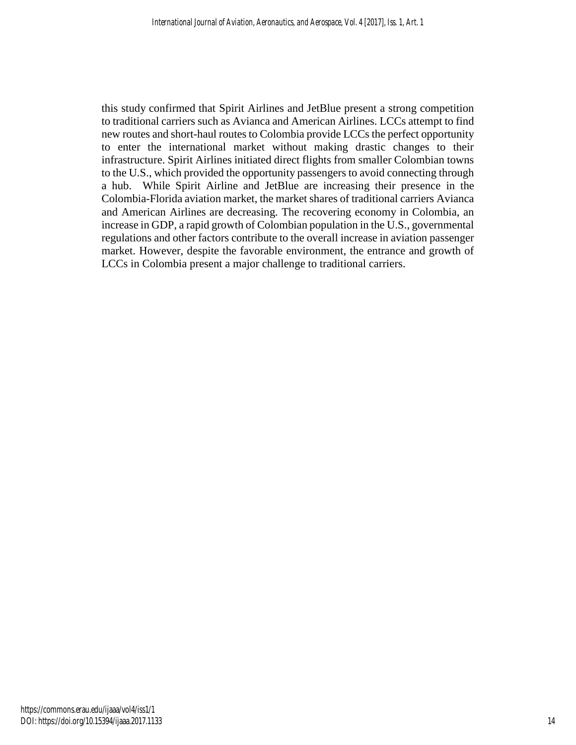this study confirmed that Spirit Airlines and JetBlue present a strong competition to traditional carriers such as Avianca and American Airlines. LCCs attempt to find new routes and short-haul routes to Colombia provide LCCs the perfect opportunity to enter the international market without making drastic changes to their infrastructure. Spirit Airlines initiated direct flights from smaller Colombian towns to the U.S., which provided the opportunity passengers to avoid connecting through a hub. While Spirit Airline and JetBlue are increasing their presence in the Colombia-Florida aviation market, the market shares of traditional carriers Avianca and American Airlines are decreasing. The recovering economy in Colombia, an increase in GDP, a rapid growth of Colombian population in the U.S., governmental regulations and other factors contribute to the overall increase in aviation passenger market. However, despite the favorable environment, the entrance and growth of LCCs in Colombia present a major challenge to traditional carriers.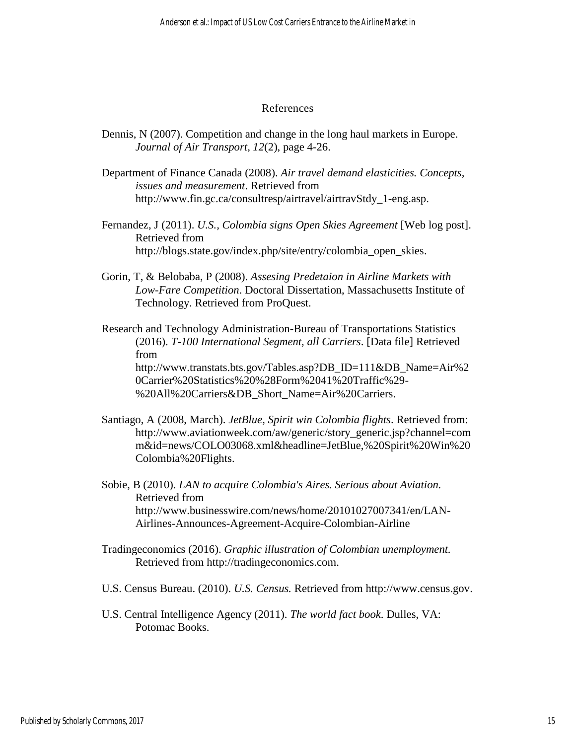#### References

- Dennis, N (2007). Competition and change in the long haul markets in Europe. *Journal of Air Transport, 12*(2), page 4-26.
- Department of Finance Canada (2008). *Air travel demand elasticities. Concepts, issues and measurement*. Retrieved from http://www.fin.gc.ca/consultresp/airtravel/airtravStdy\_1-eng.asp.
- Fernandez, J (2011). *U.S., Colombia signs Open Skies Agreement* [Web log post]. Retrieved from http://blogs.state.gov/index.php/site/entry/colombia\_open\_skies.
- Gorin, T, & Belobaba, P (2008). *Assesing Predetaion in Airline Markets with Low-Fare Competition*. Doctoral Dissertation, Massachusetts Institute of Technology. Retrieved from ProQuest.

Research and Technology Administration-Bureau of Transportations Statistics (2016). *T-100 International Segment, all Carriers*. [Data file] Retrieved from [http://www.transtats.bts.gov/Tables.asp?DB\\_ID=111&DB\\_Name=Air%2](http://www.transtats.bts.gov/Tables.asp?DB_ID=111&DB_Name=Air%20Carrier%20Statistics%20%28Form%2041%20Traffic%29-%20All%20Carriers&DB_Short_Name=Air%20Carriers) [0Carrier%20Statistics%20%28Form%2041%20Traffic%29-](http://www.transtats.bts.gov/Tables.asp?DB_ID=111&DB_Name=Air%20Carrier%20Statistics%20%28Form%2041%20Traffic%29-%20All%20Carriers&DB_Short_Name=Air%20Carriers) [%20All%20Carriers&DB\\_Short\\_Name=Air%20Carriers.](http://www.transtats.bts.gov/Tables.asp?DB_ID=111&DB_Name=Air%20Carrier%20Statistics%20%28Form%2041%20Traffic%29-%20All%20Carriers&DB_Short_Name=Air%20Carriers)

- Santiago, A (2008, March). *JetBlue, Spirit win Colombia flights*. Retrieved from: http://www.aviationweek.com/aw/generic/story\_generic.jsp?channel=com m&id=news/COLO03068.xml&headline=JetBlue,%20Spirit%20Win%20 Colombia%20Flights.
- Sobie, B (2010). *LAN to acquire Colombia's Aires. Serious about Aviation.*  Retrieved from http://www.businesswire.com/news/home/20101027007341/en/LAN-Airlines-Announces-Agreement-Acquire-Colombian-Airline
- Tradingeconomics (2016). *Graphic illustration of Colombian unemployment.* Retrieved from http://tradingeconomics.com.
- U.S. Census Bureau. (2010). *U.S. Census.* Retrieved from http://www.census.gov.
- U.S. Central Intelligence Agency (2011). *The world fact book*. Dulles, VA: Potomac Books.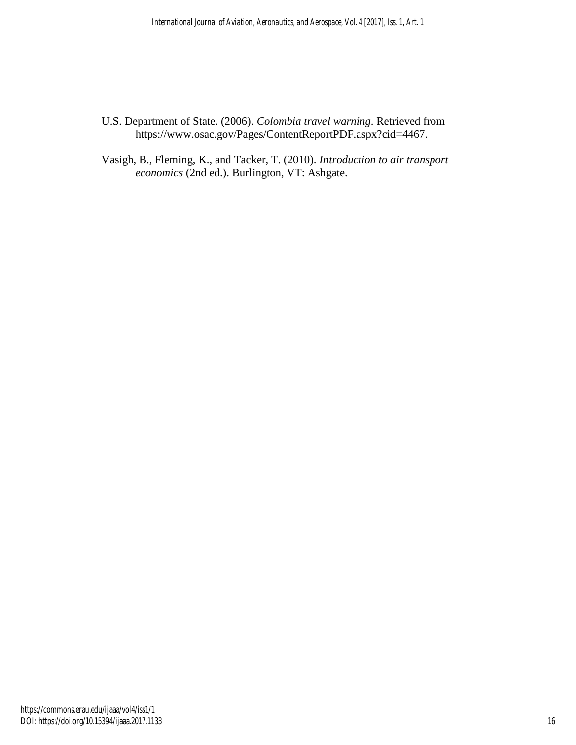- U.S. Department of State. (2006). *Colombia travel warning*. Retrieved from https://www.osac.gov/Pages/ContentReportPDF.aspx?cid=4467.
- Vasigh, B., Fleming, K., and Tacker, T. (2010). *Introduction to air transport economics* (2nd ed.). Burlington, VT: Ashgate.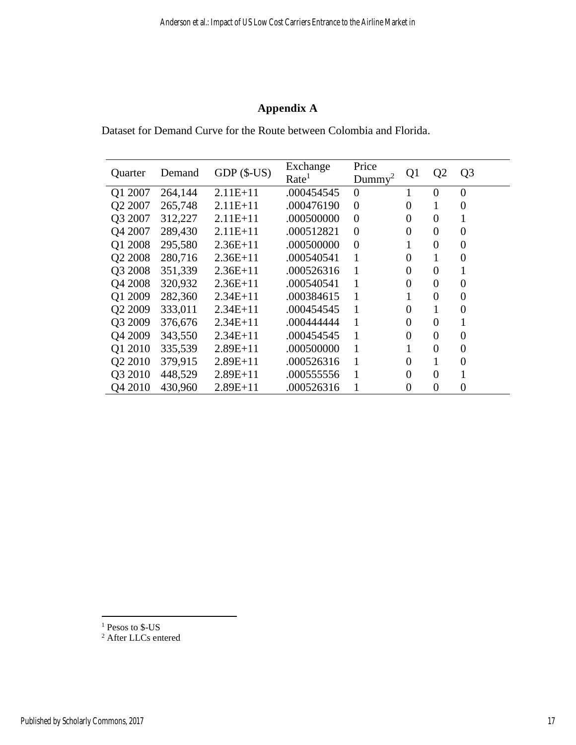# **Appendix A**

Dataset for Demand Curve for the Route between Colombia and Florida.

| Quarter             | Demand  | $GDP(S-US)$ | Exchange<br>Rate <sup>1</sup> | Price<br>Dummv <sup>2</sup> | Q <sub>1</sub> | Q <sub>2</sub>   | Q <sub>3</sub>   |
|---------------------|---------|-------------|-------------------------------|-----------------------------|----------------|------------------|------------------|
| Q1 2007             | 264,144 | $2.11E+11$  | .000454545                    | $\theta$                    |                | $\Omega$         | $\overline{0}$   |
| Q2 2007             | 265,748 | $2.11E+11$  | .000476190                    | $\overline{0}$              | 0              | 1                | 0                |
| Q3 2007             | 312,227 | $2.11E+11$  | .000500000                    | $\overline{0}$              | 0              | $\overline{0}$   | 1                |
| Q4 2007             | 289,430 | $2.11E+11$  | .000512821                    | $\overline{0}$              | $\overline{0}$ | $\boldsymbol{0}$ | $\boldsymbol{0}$ |
| Q1 2008             | 295,580 | $2.36E+11$  | .000500000                    | $\overline{0}$              |                | 0                | 0                |
| Q2 2008             | 280,716 | $2.36E+11$  | .000540541                    | 1                           | 0              | 1                | 0                |
| Q3 2008             | 351,339 | $2.36E+11$  | .000526316                    | 1                           | 0              | $\boldsymbol{0}$ |                  |
| Q4 2008             | 320,932 | $2.36E+11$  | .000540541                    |                             | 0              | $\overline{0}$   | $\overline{0}$   |
| Q1 2009             | 282,360 | $2.34E+11$  | .000384615                    | 1                           |                | $\overline{0}$   | $\boldsymbol{0}$ |
| Q <sub>2</sub> 2009 | 333,011 | $2.34E+11$  | .000454545                    | 1                           | $\overline{0}$ | 1                | $\overline{0}$   |
| Q3 2009             | 376,676 | $2.34E+11$  | .000444444                    | 1                           | 0              | $\boldsymbol{0}$ | 1                |
| Q4 2009             | 343,550 | $2.34E+11$  | .000454545                    | 1                           | 0              | $\boldsymbol{0}$ | $\overline{0}$   |
| Q1 2010             | 335,539 | $2.89E+11$  | .000500000                    | 1                           |                | $\overline{0}$   | $\boldsymbol{0}$ |
| Q2 2010             | 379,915 | $2.89E+11$  | .000526316                    | 1                           | 0              |                  | $\overline{0}$   |
| Q3 2010             | 448,529 | $2.89E+11$  | .000555556                    |                             | 0              | $\overline{0}$   |                  |
| Q4 2010             | 430,960 | $2.89E+11$  | .000526316                    |                             | 0              | $\boldsymbol{0}$ | 0                |

<sup>1</sup> Pesos to \$-US

 $\overline{a}$ 

<sup>2</sup> After LLCs entered